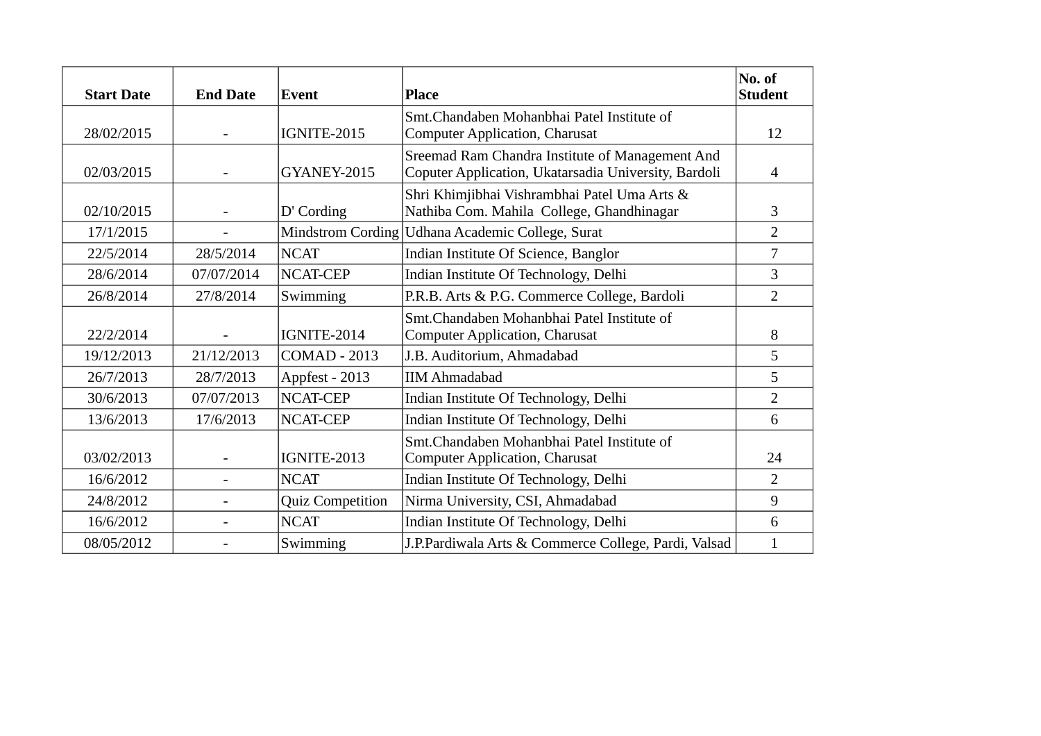| <b>Start Date</b> | <b>End Date</b> | Event                   | <b>Place</b>                                                                                            | No. of<br><b>Student</b> |
|-------------------|-----------------|-------------------------|---------------------------------------------------------------------------------------------------------|--------------------------|
| 28/02/2015        |                 | IGNITE-2015             | Smt. Chandaben Mohanbhai Patel Institute of<br><b>Computer Application, Charusat</b>                    | 12                       |
| 02/03/2015        | $\overline{a}$  | GYANEY-2015             | Sreemad Ram Chandra Institute of Management And<br>Coputer Application, Ukatarsadia University, Bardoli | $\overline{4}$           |
| 02/10/2015        | $\overline{a}$  | D' Cording              | Shri Khimjibhai Vishrambhai Patel Uma Arts &<br>Nathiba Com. Mahila College, Ghandhinagar               | 3                        |
| 17/1/2015         |                 |                         | Mindstrom Cording   Udhana Academic College, Surat                                                      | $\overline{2}$           |
| 22/5/2014         | 28/5/2014       | <b>NCAT</b>             | Indian Institute Of Science, Banglor                                                                    | 7                        |
| 28/6/2014         | 07/07/2014      | <b>NCAT-CEP</b>         | Indian Institute Of Technology, Delhi                                                                   | 3                        |
| 26/8/2014         | 27/8/2014       | Swimming                | P.R.B. Arts & P.G. Commerce College, Bardoli                                                            | $\overline{2}$           |
| 22/2/2014         |                 | IGNITE-2014             | Smt. Chandaben Mohanbhai Patel Institute of<br><b>Computer Application, Charusat</b>                    | 8                        |
| 19/12/2013        | 21/12/2013      | <b>COMAD - 2013</b>     | J.B. Auditorium, Ahmadabad                                                                              | 5                        |
| 26/7/2013         | 28/7/2013       | Appfest - 2013          | <b>IIM Ahmadabad</b>                                                                                    | 5                        |
| 30/6/2013         | 07/07/2013      | <b>NCAT-CEP</b>         | Indian Institute Of Technology, Delhi                                                                   | $\overline{2}$           |
| 13/6/2013         | 17/6/2013       | NCAT-CEP                | Indian Institute Of Technology, Delhi                                                                   | 6                        |
| 03/02/2013        | $\overline{a}$  | IGNITE-2013             | Smt. Chandaben Mohanbhai Patel Institute of<br><b>Computer Application, Charusat</b>                    | 24                       |
| 16/6/2012         |                 | <b>NCAT</b>             | Indian Institute Of Technology, Delhi                                                                   | $\overline{2}$           |
| 24/8/2012         |                 | <b>Quiz Competition</b> | Nirma University, CSI, Ahmadabad                                                                        | 9                        |
| 16/6/2012         | $\overline{a}$  | <b>NCAT</b>             | Indian Institute Of Technology, Delhi                                                                   | 6                        |
| 08/05/2012        |                 | Swimming                | J.P.Pardiwala Arts & Commerce College, Pardi, Valsad                                                    | $\mathbf{1}$             |